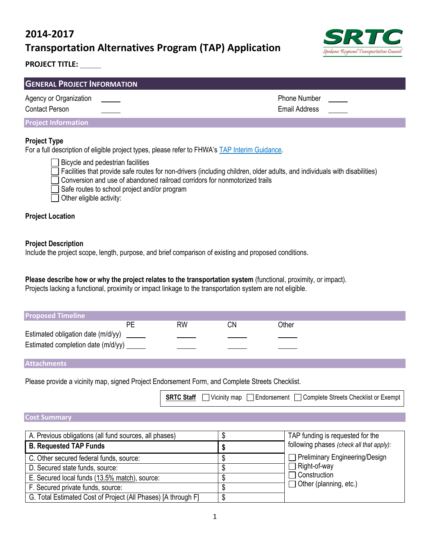# **2014-2017 Transportation Alternatives Program (TAP) Application**



## **PROJECT TITLE:**

| <b>GENERAL PROJECT INFORMATION</b>                                                                                                                                                                                                              |                     |  |  |  |
|-------------------------------------------------------------------------------------------------------------------------------------------------------------------------------------------------------------------------------------------------|---------------------|--|--|--|
| Agency or Organization                                                                                                                                                                                                                          | <b>Phone Number</b> |  |  |  |
| Contact Person<br>the control of the control of the control of the control of the control of the control of the control of the control of the control of the control of the control of the control of the control of the control of the control | Email Address       |  |  |  |

#### **Project Information**

#### **Project Type**

For a full description of eligible project types, please refer to FHWA's TAP [Interim Guidance.](http://www.fhwa.dot.gov/map21/guidance/guidetap.cfm)

Bicycle and pedestrian facilities Facilities that provide safe routes for non-drivers (including children, older adults, and individuals with disabilities) Conversion and use of abandoned railroad corridors for nonmotorized trails Safe routes to school project and/or program Other eligible activity:

## **Project Location**

#### **Project Description**

Include the project scope, length, purpose, and brief comparison of existing and proposed conditions.

# **Please describe how or why the project relates to the transportation system** (functional, proximity, or impact).

Projects lacking a functional, proximity or impact linkage to the transportation system are not eligible.

| <b>Proposed Timeline</b>                  |    |    |    |       |
|-------------------------------------------|----|----|----|-------|
|                                           | РF | RW | ΛN | Other |
| Estimated obligation date (m/d/yy) ______ |    |    |    |       |
| Estimated completion date (m/d/yy) ______ |    |    |    |       |

### **Attachments**

Please provide a vicinity map, signed Project Endorsement Form, and Complete Streets Checklist.

|  |  |  | SRTC Staff Vicinity map Endorsement Complete Streets Checklist or Exempt |
|--|--|--|--------------------------------------------------------------------------|
|--|--|--|--------------------------------------------------------------------------|

#### **Cost Summary**

| A. Previous obligations (all fund sources, all phases)        | TAP funding is requested for the         |
|---------------------------------------------------------------|------------------------------------------|
| <b>B. Requested TAP Funds</b>                                 | following phases (check all that apply): |
| C. Other secured federal funds, source:                       | $\Box$ Preliminary Engineering/Design    |
| D. Secured state funds, source:                               | <b>Right-of-way</b>                      |
| E. Secured local funds (13.5% match), source:                 | Construction                             |
| F. Secured private funds, source:                             | $\Box$ Other (planning, etc.)            |
| G. Total Estimated Cost of Project (All Phases) [A through F] |                                          |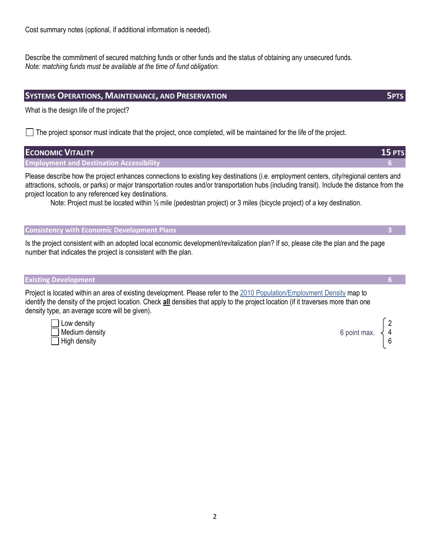Describe the commitment of secured matching funds or other funds and the status of obtaining any unsecured funds. *Note: matching funds must be available at the time of fund obligation.*

### **SYSTEMS OPERATIONS, MAINTENANCE, AND PRESERVATION 5PTS**

What is the design life of the project?

 $\Box$  The project sponsor must indicate that the project, once completed, will be maintained for the life of the project.

## **ECONOMIC VITALITY 15 PTS Employment and Destination Accessibility 6** Please describe how the project enhances connections to existing key destinations (i.e. employment centers, city/regional centers and attractions, schools, or parks) or major transportation routes and/or transportation hubs (including transit). Include the distance from the project location to any referenced key destinations. Note: Project must be located within 1/<sub>2</sub> mile (pedestrian project) or 3 miles (bicycle project) of a key destination.

### **Consistency with Economic Development Plans 3**

Is the project consistent with an adopted local economic development/revitalization plan? If so, please cite the plan and the page number that indicates the project is consistent with the plan.

#### **Existing Development 6**

Project is located within an area of existing development. Please refer to the 2010 Population/Employment Density map to identify the density of the project location. Check **all** densities that apply to the project location (if it traverses more than one density type, an average score will be given).

Low density **2** Medium density and the set of the set of the set of the set of the set of the set of the set of the set of the set of the set of the set of the set of the set of the set of the set of the set of the set of the set of the s High density 6

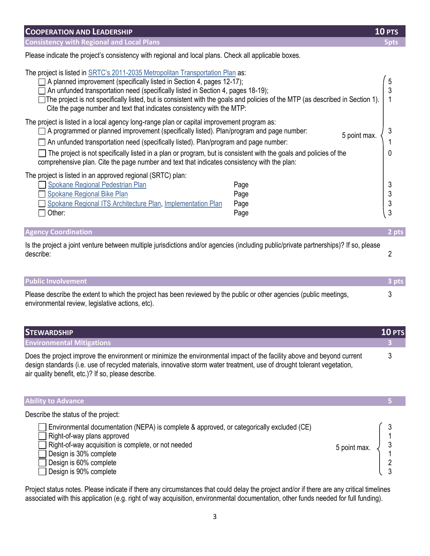| <b>COOPERATION AND LEADERSHIP</b>                                                                                                                                                                                                                                                                                                                                                                                                                                                                         |                              | $10$ PTS         |
|-----------------------------------------------------------------------------------------------------------------------------------------------------------------------------------------------------------------------------------------------------------------------------------------------------------------------------------------------------------------------------------------------------------------------------------------------------------------------------------------------------------|------------------------------|------------------|
| <b>Consistency with Regional and Local Plans</b>                                                                                                                                                                                                                                                                                                                                                                                                                                                          |                              | 5pts             |
| Please indicate the project's consistency with regional and local plans. Check all applicable boxes.                                                                                                                                                                                                                                                                                                                                                                                                      |                              |                  |
| The project is listed in <b>SRTC's 2011-2035</b> Metropolitan Transportation Plan as:<br>A planned improvement (specifically listed in Section 4, pages 12-17);<br>An unfunded transportation need (specifically listed in Section 4, pages 18-19);<br>The project is not specifically listed, but is consistent with the goals and policies of the MTP (as described in Section 1).<br>Cite the page number and text that indicates consistency with the MTP:                                            |                              | 5                |
| The project is listed in a local agency long-range plan or capital improvement program as:<br>$\Box$ A programmed or planned improvement (specifically listed). Plan/program and page number:<br>An unfunded transportation need (specifically listed). Plan/program and page number:<br>The project is not specifically listed in a plan or program, but is consistent with the goals and policies of the<br>comprehensive plan. Cite the page number and text that indicates consistency with the plan: | 5 point max.                 | 0                |
| The project is listed in an approved regional (SRTC) plan:<br>Spokane Regional Pedestrian Plan<br><b>Spokane Regional Bike Plan</b><br>Spokane Regional ITS Architecture Plan, Implementation Plan<br>Other:                                                                                                                                                                                                                                                                                              | Page<br>Page<br>Page<br>Page | 3<br>3<br>3<br>3 |

| <b>Agency Coordination</b>                                                                                                                        | 2 pts |
|---------------------------------------------------------------------------------------------------------------------------------------------------|-------|
| Is the project a joint venture between multiple jurisdictions and/or agencies (including public/private partnerships)? If so, please<br>describe: |       |

| <b>Public Involvement</b>                                                                                                                                               | 3 pts |
|-------------------------------------------------------------------------------------------------------------------------------------------------------------------------|-------|
| Please describe the extent to which the project has been reviewed by the public or other agencies (public meetings,<br>environmental review, legislative actions, etc). |       |

| <b>STEWARDSHIP</b>                                                                                                                                                                                                                                                                                       | <b>10 PTS</b> |
|----------------------------------------------------------------------------------------------------------------------------------------------------------------------------------------------------------------------------------------------------------------------------------------------------------|---------------|
| <b>Environmental Mitigations</b>                                                                                                                                                                                                                                                                         |               |
| Does the project improve the environment or minimize the environmental impact of the facility above and beyond current<br>design standards (i.e. use of recycled materials, innovative storm water treatment, use of drought tolerant vegetation,<br>air quality benefit, etc.)? If so, please describe. |               |

| <b>Ability to Advance</b>                                                                                                                                                                                                                                     |              |        |
|---------------------------------------------------------------------------------------------------------------------------------------------------------------------------------------------------------------------------------------------------------------|--------------|--------|
| Describe the status of the project:                                                                                                                                                                                                                           |              |        |
| Environmental documentation (NEPA) is complete & approved, or categorically excluded (CE)<br>Right-of-way plans approved<br>Right-of-way acquisition is complete, or not needed<br>Design is 30% complete<br>Design is 60% complete<br>Design is 90% complete | 5 point max. | 3<br>റ |

Project status notes. Please indicate if there any circumstances that could delay the project and/or if there are any critical timelines associated with this application (e.g. right of way acquisition, environmental documentation, other funds needed for full funding).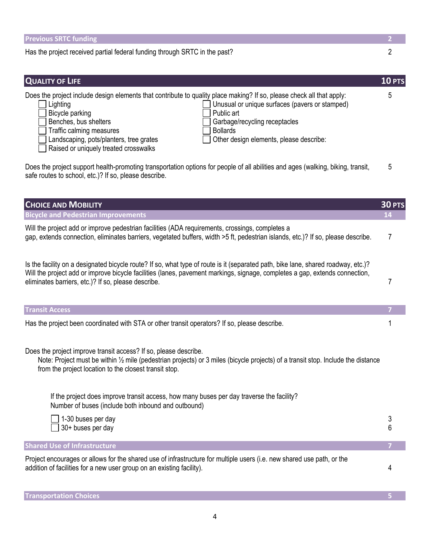| <b>Previous SRTC funding</b>                                                                                                                                                                                                                                                                                                                                                                                                                                 | 2      |
|--------------------------------------------------------------------------------------------------------------------------------------------------------------------------------------------------------------------------------------------------------------------------------------------------------------------------------------------------------------------------------------------------------------------------------------------------------------|--------|
| Has the project received partial federal funding through SRTC in the past?                                                                                                                                                                                                                                                                                                                                                                                   | 2      |
|                                                                                                                                                                                                                                                                                                                                                                                                                                                              |        |
| <b>QUALITY OF LIFE</b>                                                                                                                                                                                                                                                                                                                                                                                                                                       | 10 PTS |
| Does the project include design elements that contribute to quality place making? If so, please check all that apply:<br>Lighting<br>Unusual or unique surfaces (pavers or stamped)<br>Bicycle parking<br>Public art<br>Garbage/recycling receptacles<br>Benches, bus shelters<br>Traffic calming measures<br><b>Bollards</b><br>Landscaping, pots/planters, tree grates<br>Other design elements, please describe:<br>Raised or uniquely treated crosswalks | 5      |
| Does the project support health-promoting transportation options for people of all abilities and ages (walking, biking, transit,<br>safe routes to school, etc.)? If so, please describe.                                                                                                                                                                                                                                                                    | 5      |
| <b>CHOICE AND MOBILITY</b>                                                                                                                                                                                                                                                                                                                                                                                                                                   | 30 PTS |
| <b>Bicycle and Pedestrian Improvements</b>                                                                                                                                                                                                                                                                                                                                                                                                                   | 14     |
| Will the project add or improve pedestrian facilities (ADA requirements, crossings, completes a<br>gap, extends connection, eliminates barriers, vegetated buffers, width >5 ft, pedestrian islands, etc.)? If so, please describe.                                                                                                                                                                                                                          | 7      |
| Is the facility on a designated bicycle route? If so, what type of route is it (separated path, bike lane, shared roadway, etc.)?<br>Will the project add or improve bicycle facilities (lanes, pavement markings, signage, completes a gap, extends connection,<br>eliminates barriers, etc.)? If so, please describe.                                                                                                                                      | 7      |
| <b>Transit Access</b>                                                                                                                                                                                                                                                                                                                                                                                                                                        |        |
| Has the project been coordinated with STA or other transit operators? If so, please describe.                                                                                                                                                                                                                                                                                                                                                                | 1      |
| Does the project improve transit access? If so, please describe.<br>Note: Project must be within 1/2 mile (pedestrian projects) or 3 miles (bicycle projects) of a transit stop. Include the distance<br>from the project location to the closest transit stop.                                                                                                                                                                                              |        |
| If the project does improve transit access, how many buses per day traverse the facility?<br>Number of buses (include both inbound and outbound)                                                                                                                                                                                                                                                                                                             |        |
| 1-30 buses per day<br>30+ buses per day                                                                                                                                                                                                                                                                                                                                                                                                                      | 3<br>6 |
| <b>Shared Use of Infrastructure</b>                                                                                                                                                                                                                                                                                                                                                                                                                          |        |
| Project encourages or allows for the shared use of infrastructure for multiple users (i.e. new shared use path, or the<br>addition of facilities for a new user group on an existing facility).                                                                                                                                                                                                                                                              | 4      |
| <b>Transportation Choices</b>                                                                                                                                                                                                                                                                                                                                                                                                                                |        |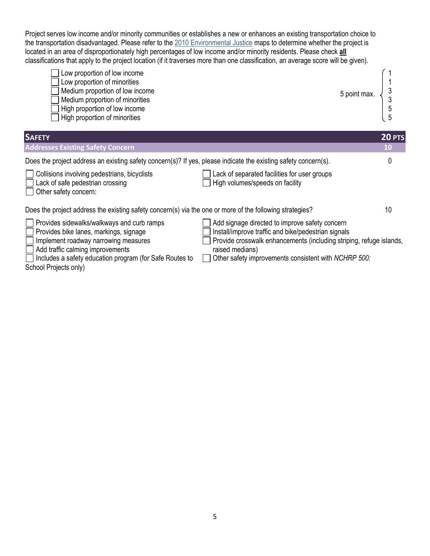Project serves low income and/or minority communities or establishes a new or enhances an existing transportation choice to the transportation disadvantaged. Please refer to the 2010 Environmental Justice maps to determine whether the project is located in an area of disproportionately high percentages of low income and/or minority residents. Please check **all** classifications that apply to the project location (if it traverses more than one classification, an average score will be given).



| <b>SAFETY</b>                                                                                                                                                                                                               |                                                                                                                                                                                                                                                         | 20 PTS    |
|-----------------------------------------------------------------------------------------------------------------------------------------------------------------------------------------------------------------------------|---------------------------------------------------------------------------------------------------------------------------------------------------------------------------------------------------------------------------------------------------------|-----------|
| <b>Addresses Existing Safety Concern</b>                                                                                                                                                                                    |                                                                                                                                                                                                                                                         | <b>10</b> |
| Does the project address an existing safety concern(s)? If yes, please indicate the existing safety concern(s).                                                                                                             |                                                                                                                                                                                                                                                         |           |
| Collisions involving pedestrians, bicyclists<br>Lack of safe pedestrian crossing<br>Other safety concern:                                                                                                                   | Lack of separated facilities for user groups<br>High volumes/speeds on facility                                                                                                                                                                         |           |
| Does the project address the existing safety concern(s) via the one or more of the following strategies?                                                                                                                    |                                                                                                                                                                                                                                                         | 10        |
| Provides sidewalks/walkways and curb ramps<br>Provides bike lanes, markings, signage<br>Implement roadway narrowing measures<br>Add traffic calming improvements<br>Includes a safety education program (for Safe Poutes to | Add signage directed to improve safety concern<br>Install/improve traffic and bike/pedestrian signals<br>Provide crosswalk enhancements (including striping, refuge islands,<br>raised medians)<br>Other safety improvements consistent with NCHPP 500. |           |

- Includes a safety education program (for Safe Routes to  $\Box$  Other safety improvements consistent with *NCHRP 500:* School Projects only)
-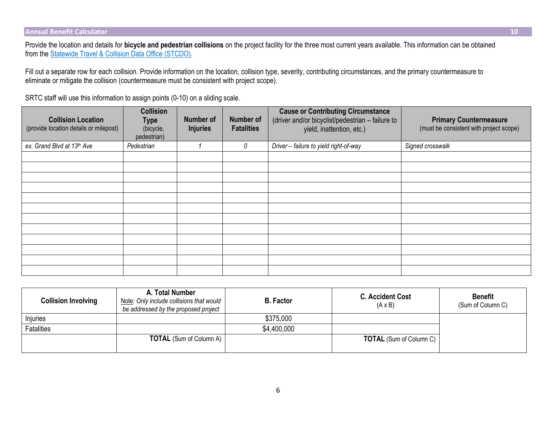Provide the location and details for **bicycle and pedestrian collisions** on the project facility for the three most current years available. This information can be obtained from th[e Statewide Travel & Collision Data Office \(STCDO\).](http://www.wsdot.wa.gov/mapsdata/stcdo_home.htm)

Fill out a separate row for each collision. Provide information on the location, collision type, severity, contributing circumstances, and the primary countermeasure to eliminate or mitigate the collision (countermeasure must be consistent with project scope).

SRTC staff will use this information to assign points (0-10) on a sliding scale.

| <b>Collision Location</b><br>(provide location details or milepost) | <b>Collision</b><br><b>Type</b><br>(bicycle,<br>pedestrian) | <b>Number of</b><br><b>Injuries</b> | <b>Number of</b><br><b>Fatalities</b> | <b>Cause or Contributing Circumstance</b><br>(driver and/or bicyclist/pedestrian - failure to<br>yield, inattention, etc.) | <b>Primary Countermeasure</b><br>(must be consistent with project scope) |
|---------------------------------------------------------------------|-------------------------------------------------------------|-------------------------------------|---------------------------------------|----------------------------------------------------------------------------------------------------------------------------|--------------------------------------------------------------------------|
| ex. Grand Blvd at 13th Ave                                          | Pedestrian                                                  |                                     | 0                                     | Driver - failure to yield right-of-way                                                                                     | Signed crosswalk                                                         |
|                                                                     |                                                             |                                     |                                       |                                                                                                                            |                                                                          |
|                                                                     |                                                             |                                     |                                       |                                                                                                                            |                                                                          |
|                                                                     |                                                             |                                     |                                       |                                                                                                                            |                                                                          |
|                                                                     |                                                             |                                     |                                       |                                                                                                                            |                                                                          |
|                                                                     |                                                             |                                     |                                       |                                                                                                                            |                                                                          |
|                                                                     |                                                             |                                     |                                       |                                                                                                                            |                                                                          |
|                                                                     |                                                             |                                     |                                       |                                                                                                                            |                                                                          |
|                                                                     |                                                             |                                     |                                       |                                                                                                                            |                                                                          |
|                                                                     |                                                             |                                     |                                       |                                                                                                                            |                                                                          |
|                                                                     |                                                             |                                     |                                       |                                                                                                                            |                                                                          |
|                                                                     |                                                             |                                     |                                       |                                                                                                                            |                                                                          |
|                                                                     |                                                             |                                     |                                       |                                                                                                                            |                                                                          |

| <b>Collision Involving</b> | A. Total Number<br>Note: Only include collisions that would<br>be addressed by the proposed project | <b>B.</b> Factor | <b>C. Accident Cost</b><br>$(A \times B)$ | <b>Benefit</b><br>(Sum of Column C) |
|----------------------------|-----------------------------------------------------------------------------------------------------|------------------|-------------------------------------------|-------------------------------------|
| Injuries                   |                                                                                                     | \$375,000        |                                           |                                     |
| Fatalities                 |                                                                                                     | \$4,400,000      |                                           |                                     |
|                            | <b>TOTAL</b> (Sum of Column A)                                                                      |                  | <b>TOTAL</b> (Sum of Column C)            |                                     |